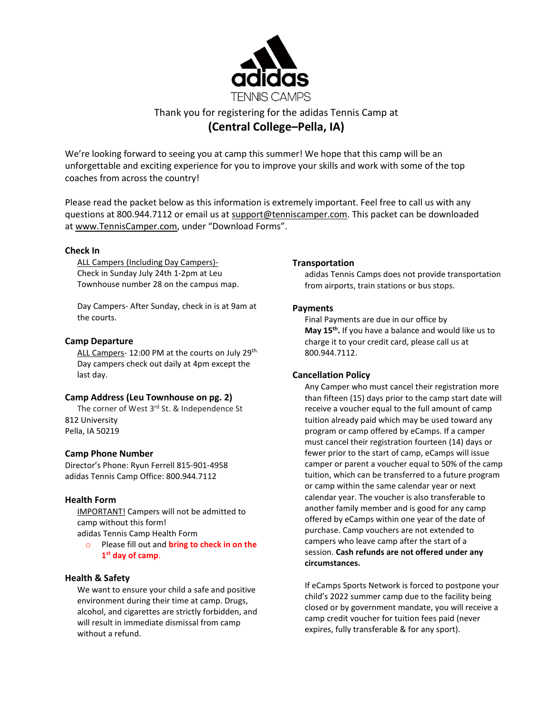

# Thank you for registering for the adidas Tennis Camp at **(Central College–Pella, IA)**

We're looking forward to seeing you at camp this summer! We hope that this camp will be an unforgettable and exciting experience for you to improve your skills and work with some of the top coaches from across the country!

Please read the packet below as this information is extremely important. Feel free to call us with any questions at 800.944.7112 or email us at [support@tenniscamper.com.](mailto:support@tenniscamper.com) This packet can be downloaded at www.TennisCamper.com, under "Download Forms".

#### **Check In**

ALL Campers (Including Day Campers)- Check in Sunday July 24th 1-2pm at Leu Townhouse number 28 on the campus map.

Day Campers- After Sunday, check in is at 9am at the courts.

## **Camp Departure**

ALL Campers- 12:00 PM at the courts on July 29<sup>th.</sup> Day campers check out daily at 4pm except the last day.

# **Camp Address (Leu Townhouse on pg. 2)**

The corner of West 3<sup>rd</sup> St. & Independence St 812 University Pella, IA 50219

# **Camp Phone Number**

Director's Phone: Ryun Ferrell 815-901-4958 adidas Tennis Camp Office: 800.944.7112

# **Health Form**

IMPORTANT! Campers will not be admitted to camp without this form! adidas Tennis Camp Health Form

o Please fill out and **bring to check in on the 1 st day of camp**.

#### **Health & Safety**

We want to ensure your child a safe and positive environment during their time at camp. Drugs, alcohol, and cigarettes are strictly forbidden, and will result in immediate dismissal from camp without a refund.

#### **Transportation**

adidas Tennis Camps does not provide transportation from airports, train stations or bus stops.

#### **Payments**

Final Payments are due in our office by **May 15th .** If you have a balance and would like us to charge it to your credit card, please call us at 800.944.7112.

#### **Cancellation Policy**

Any Camper who must cancel their registration more than fifteen (15) days prior to the camp start date will receive a voucher equal to the full amount of camp tuition already paid which may be used toward any program or camp offered by eCamps. If a camper must cancel their registration fourteen (14) days or fewer prior to the start of camp, eCamps will issue camper or parent a voucher equal to 50% of the camp tuition, which can be transferred to a future program or camp within the same calendar year or next calendar year. The voucher is also transferable to another family member and is good for any camp offered by eCamps within one year of the date of purchase. Camp vouchers are not extended to campers who leave camp after the start of a session. **Cash refunds are not offered under any circumstances.**

If eCamps Sports Network is forced to postpone your child's 2022 summer camp due to the facility being closed or by government mandate, you will receive a camp credit voucher for tuition fees paid (never expires, fully transferable & for any sport).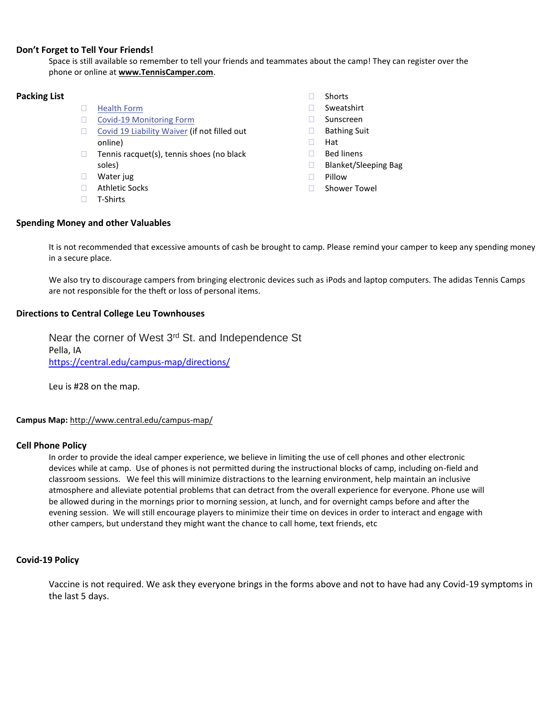#### **Don't Forget to Tell Your Friends!**

Space is still available so remember to tell your friends and teammates about the camp! They can register over the phone or online at **www.TennisCamper.com**.

# **Packing List**

- **[Health](https://tenniscamper.com/wp-content/uploads/TN-adidasTennisCampsHealthForm.pdf) Form**
- □ Covid-19 [Monitoring](https://tenniscamper.com/wp-content/uploads/Athletic-Monitoring-Form.pdf) Form
- □ Covid 19 [Liability](https://tenniscamper.com/wp-content/uploads/eCampsWaiverOfLiabilityAddendumRelatingToCoronavirus.pdf) Waiver (if not filled out online)
- $\Box$  Tennis racquet(s), tennis shoes (no black soles)
- Water jug
- □ Athletic Socks
- □ T-Shirts

## **Spending Money and other Valuables**

□ Shorts

- Sweatshirt
- □ Sunscreen
- □ Bathing Suit
- Hat
- □ Bed linens
- □ Blanket/Sleeping Bag
- $\Box$  Pillow
- □ Shower Towel

It is not recommended that excessive amounts of cash be brought to camp. Please remind your camper to keep any spending money in a secure place.

We also try to discourage campers from bringing electronic devices such as iPods and laptop computers. The adidas Tennis Camps are not responsible for the theft or loss of personal items.

#### **Directions to Central College Leu Townhouses**

Near the corner of West 3<sup>rd</sup> St. and Independence St Pella, IA <https://central.edu/campus-map/directions/>

Leu is #28 on the map.

#### **Campus Map:** <http://www.central.edu/campus-map/>

#### **Cell Phone Policy**

In order to provide the ideal camper experience, we believe in limiting the use of cell phones and other electronic devices while at camp. Use of phones is not permitted during the instructional blocks of camp, including on-field and classroom sessions. We feel this will minimize distractions to the learning environment, help maintain an inclusive atmosphere and alleviate potential problems that can detract from the overall experience for everyone. Phone use will be allowed during in the mornings prior to morning session, at lunch, and for overnight camps before and after the evening session. We will still encourage players to minimize their time on devices in order to interact and engage with other campers, but understand they might want the chance to call home, text friends, etc

#### **Covid-19 Policy**

Vaccine is not required. We ask they everyone brings in the forms above and not to have had any Covid-19 symptoms in the last 5 days.